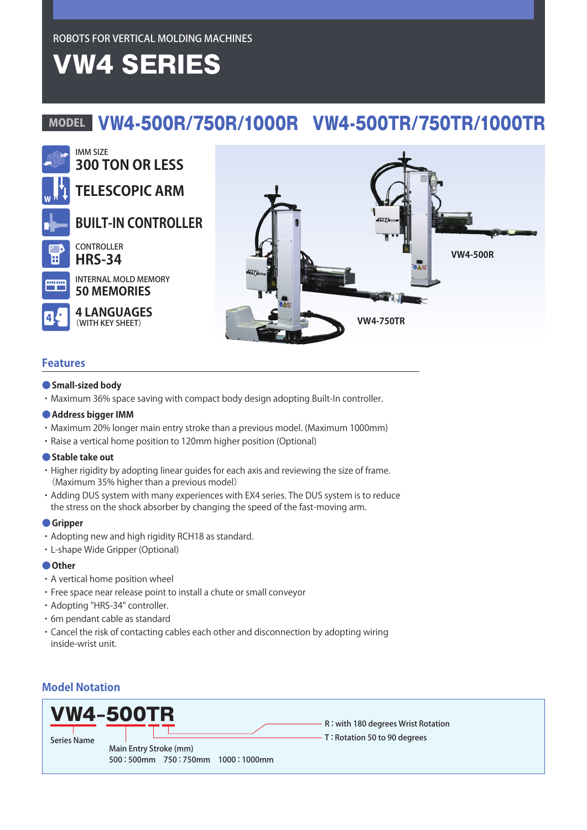ROBOTS FOR VERTICAL MOLDING MACHINES

# VW4 SERIES

# MODEL VW4-500R/750R/1000R VW4-500TR/750TR/1000TR



## **Features**

#### **●Small-sized body**

・Maximum 36% space saving with compact body design adopting Built-In controller.

#### **●Address bigger IMM**

- ・Maximum 20% longer main entry stroke than a previous model. (Maximum 1000mm)
- ・Raise a vertical home position to 120mm higher position (Optional)

#### **●Stable take out**

- ・Higher rigidity by adopting linear guides for each axis and reviewing the size of frame. (Maximum 35% higher than a previous model)
- ・Adding DUS system with many experiences with EX4 series. The DUS system is to reduce the stress on the shock absorber by changing the speed of the fast-moving arm.

#### **●Gripper**

- ・Adopting new and high rigidity RCH18 as standard.
- ・L-shape Wide Gripper (Optional)

#### **●Other**

- ・A vertical home position wheel
- ・Free space near release point to install a chute or small conveyor
- ・Adopting "HRS-34" controller.
- ・6m pendant cable as standard
- ・Cancel the risk of contacting cables each other and disconnection by adopting wiring inside-wrist unit.